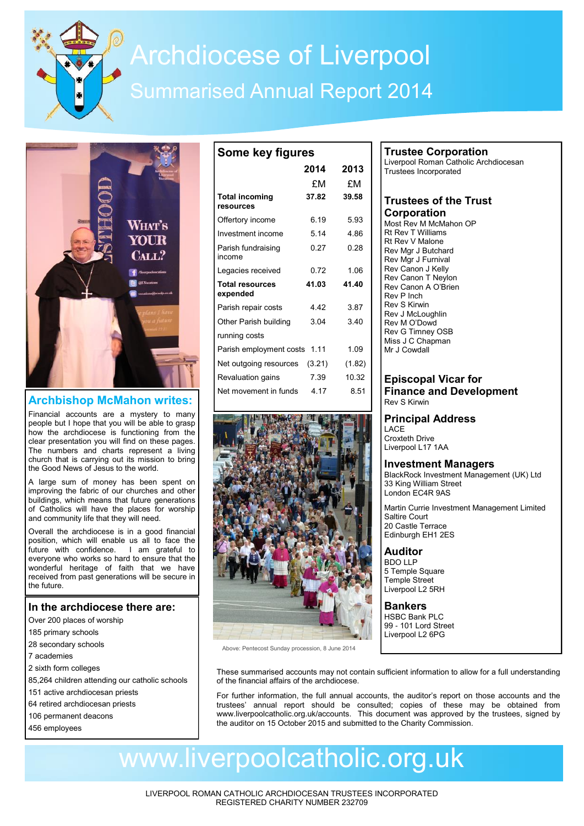# Archdiocese of Liverpool Summarised Annual Report 2014

**Some key figures**



# **Archbishop McMahon writes:**

Financial accounts are a mystery to many people but I hope that you will be able to grasp how the archdiocese is functioning from the clear presentation you will find on these pages. The numbers and charts represent a living church that is carrying out its mission to bring the Good News of Jesus to the world.

A large sum of money has been spent on improving the fabric of our churches and other buildings, which means that future generations of Catholics will have the places for worship and community life that they will need.

Overall the archdiocese is in a good financial position, which will enable us all to face the future with confidence. I am grateful to everyone who works so hard to ensure that the wonderful heritage of faith that we have received from past generations will be secure in the future.

# **In the archdiocese there are:**

- Over 200 places of worship
- 185 primary schools
- 28 secondary schools
- 7 academies
- 2 sixth form colleges
- 85,264 children attending our catholic schools
- 151 active archdiocesan priests
- 64 retired archdiocesan priests
- 106 permanent deacons
- 456 employees

|                                    | 2014   | 2013   |
|------------------------------------|--------|--------|
|                                    | £Μ     | £Μ     |
| <b>Total incoming</b><br>resources | 37.82  | 39.58  |
| Offertory income                   | 6.19   | 593    |
| Investment income                  | 514    | 486    |
| Parish fundraising<br>income       | 0.27   | 0.28   |
| Legacies received                  | 0.72   | 1.06   |
| <b>Total resources</b><br>expended | 41.03  | 41.40  |
| Parish repair costs                | 442    | 3.87   |
| Other Parish building              | 3.04   | 340    |
| running costs                      |        |        |
| Parish employment costs            | 1.11   | 1.09   |
| Net outgoing resources             | (3.21) | (1.82) |
| Revaluation gains                  | 7.39   | 10.32  |
| Net movement in funds              | 4.17   | 8.51   |
|                                    |        |        |



Above: Pentecost Sunday procession, 8 June 2014

# **Trustee Corporation**

Liverpool Roman Catholic Archdiocesan Trustees Incorporated

## **Trustees of the Trust Corporation**

Most Rev M McMahon OP Rt Rev T Williams Rt Rev V Malone Rev Mgr J Butchard Rev Mgr J Furnival Rev Canon J Kelly Rev Canon T Neylon Rev Canon A O'Brien Rev P Inch Rev S Kirwin Rev J McLoughlin Rev M O'Dowd Rev G Timney OSB Miss J C Chapman Mr J Cowdall

### **Episcopal Vicar for Finance and Development** Rev S Kirwin

# **Principal Address**

LACE Croxteth Drive Liverpool L17 1AA

# **Investment Managers**

BlackRock Investment Management (UK) Ltd 33 King William Street London EC4R 9AS

Martin Currie Investment Management Limited Saltire Court 20 Castle Terrace Edinburgh EH1 2ES

#### **Auditor** BDO LLP 5 Temple Square Temple Street Liverpool L2 5RH

**Bankers** HSBC Bank PLC 99 - 101 Lord Street Liverpool L2 6PG

These summarised accounts may not contain sufficient information to allow for a full understanding of the financial affairs of the archdiocese.

For further information, the full annual accounts, the auditor's report on those accounts and the trustees' annual report should be consulted; copies of these may be obtained from www.liverpoolcatholic.org.uk/accounts. This document was approved by the trustees, signed by the auditor on 15 October 2015 and submitted to the Charity Commission.

# www.liverpoolcatholic.org.uk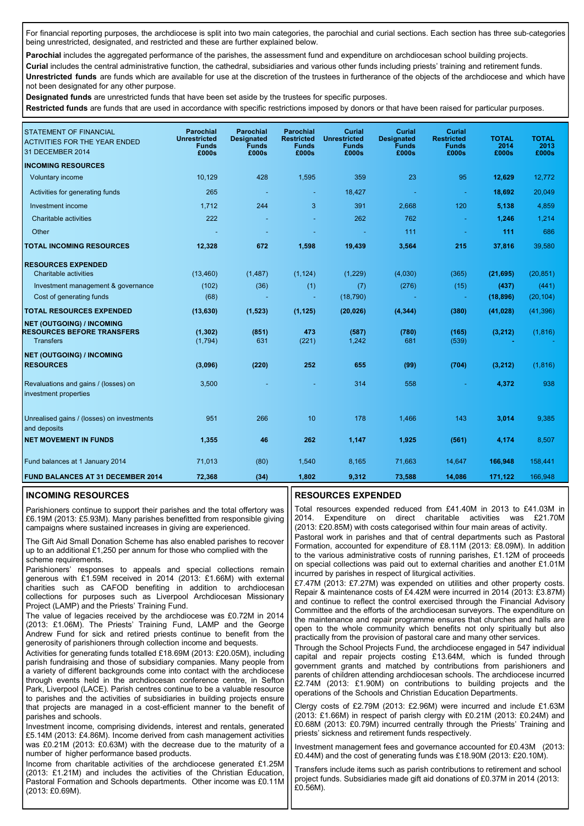For financial reporting purposes, the archdiocese is split into two main categories, the parochial and curial sections. Each section has three sub-categories being unrestricted, designated, and restricted and these are further explained below.

Parochial includes the aggregated performance of the parishes, the assessment fund and expenditure on archdiocesan school building projects.

**Curial** includes the central administrative function, the cathedral, subsidiaries and various other funds including priests' training and retirement funds. **Unrestricted funds** are funds which are available for use at the discretion of the trustees in furtherance of the objects of the archdiocese and which have not been designated for any other purpose.

**Designated funds** are unrestricted funds that have been set aside by the trustees for specific purposes.

**Restricted funds** are funds that are used in accordance with specific restrictions imposed by donors or that have been raised for particular purposes.

| <b>STATEMENT OF FINANCIAL</b><br><b>ACTIVITIES FOR THE YEAR ENDED</b><br>31 DECEMBER 2014 | <b>Parochial</b><br><b>Unrestricted</b><br><b>Funds</b><br>£000s | <b>Parochial</b><br><b>Designated</b><br>Funds<br>£000s | <b>Parochial</b><br><b>Restricted</b><br><b>Funds</b><br>£000s | <b>Curial</b><br><b>Unrestricted</b><br><b>Funds</b><br>£000s | <b>Curial</b><br><b>Designated</b><br>Funds<br>£000s | <b>Curial</b><br><b>Restricted</b><br><b>Funds</b><br>£000s | <b>TOTAL</b><br>2014<br>£000s | <b>TOTAL</b><br>2013<br>£000s |
|-------------------------------------------------------------------------------------------|------------------------------------------------------------------|---------------------------------------------------------|----------------------------------------------------------------|---------------------------------------------------------------|------------------------------------------------------|-------------------------------------------------------------|-------------------------------|-------------------------------|
| <b>INCOMING RESOURCES</b>                                                                 |                                                                  |                                                         |                                                                |                                                               |                                                      |                                                             |                               |                               |
| Voluntary income                                                                          | 10,129                                                           | 428                                                     | 1,595                                                          | 359                                                           | 23                                                   | 95                                                          | 12,629                        | 12,772                        |
| Activities for generating funds                                                           | 265                                                              | $\sim$                                                  | $\blacksquare$                                                 | 18,427                                                        |                                                      | ÷                                                           | 18,692                        | 20.049                        |
| Investment income                                                                         | 1,712                                                            | 244                                                     | 3                                                              | 391                                                           | 2,668                                                | 120                                                         | 5,138                         | 4,859                         |
| Charitable activities                                                                     | 222                                                              |                                                         |                                                                | 262                                                           | 762                                                  | ٠                                                           | 1,246                         | 1,214                         |
| Other                                                                                     |                                                                  |                                                         |                                                                | ٠                                                             | 111                                                  | $\sim$                                                      | 111                           | 686                           |
| <b>TOTAL INCOMING RESOURCES</b>                                                           | 12,328                                                           | 672                                                     | 1,598                                                          | 19,439                                                        | 3,564                                                | 215                                                         | 37,816                        | 39,580                        |
| <b>RESOURCES EXPENDED</b>                                                                 |                                                                  |                                                         |                                                                |                                                               |                                                      |                                                             |                               |                               |
| Charitable activities                                                                     | (13, 460)                                                        | (1, 487)                                                | (1, 124)                                                       | (1, 229)                                                      | (4,030)                                              | (365)                                                       | (21, 695)                     | (20, 851)                     |
| Investment management & governance                                                        | (102)                                                            | (36)                                                    | (1)                                                            | (7)                                                           | (276)                                                | (15)                                                        | (437)                         | (441)                         |
| Cost of generating funds                                                                  | (68)                                                             |                                                         | ٠                                                              | (18, 790)                                                     |                                                      | $\blacksquare$                                              | (18, 896)                     | (20, 104)                     |
| <b>TOTAL RESOURCES EXPENDED</b>                                                           | (13, 630)                                                        | (1, 523)                                                | (1, 125)                                                       | (20, 026)                                                     | (4, 344)                                             | (380)                                                       | (41, 028)                     | (41, 396)                     |
| <b>NET (OUTGOING) / INCOMING</b>                                                          |                                                                  |                                                         |                                                                |                                                               |                                                      |                                                             |                               |                               |
| <b>RESOURCES BEFORE TRANSFERS</b><br><b>Transfers</b>                                     | (1, 302)<br>(1,794)                                              | (851)<br>631                                            | 473<br>(221)                                                   | (587)<br>1,242                                                | (780)<br>681                                         | (165)<br>(539)                                              | (3,212)                       | (1, 816)                      |
| <b>NET (OUTGOING) / INCOMING</b>                                                          |                                                                  |                                                         |                                                                |                                                               |                                                      |                                                             |                               |                               |
| <b>RESOURCES</b>                                                                          | (3,096)                                                          | (220)                                                   | 252                                                            | 655                                                           | (99)                                                 | (704)                                                       | (3, 212)                      | (1, 816)                      |
| Revaluations and gains / (losses) on<br>investment properties                             | 3,500                                                            |                                                         |                                                                | 314                                                           | 558                                                  |                                                             | 4,372                         | 938                           |
| Unrealised gains / (losses) on investments<br>and deposits                                | 951                                                              | 266                                                     | 10                                                             | 178                                                           | 1,466                                                | 143                                                         | 3,014                         | 9,385                         |
| <b>NET MOVEMENT IN FUNDS</b>                                                              | 1,355                                                            | 46                                                      | 262                                                            | 1,147                                                         | 1,925                                                | (561)                                                       | 4,174                         | 8,507                         |
| Fund balances at 1 January 2014                                                           | 71,013                                                           | (80)                                                    | 1,540                                                          | 8.165                                                         | 71,663                                               | 14.647                                                      | 166,948                       | 158,441                       |
| <b>FUND BALANCES AT 31 DECEMBER 2014</b>                                                  | 72,368                                                           | (34)                                                    | 1,802                                                          | 9,312                                                         | 73,588                                               | 14,086                                                      | 171,122                       | 166,948                       |

#### **INCOMING RESOURCES**

Parishioners continue to support their parishes and the total offertory was £6.19M (2013: £5.93M). Many parishes benefitted from responsible giving campaigns where sustained increases in giving are experienced.

The Gift Aid Small Donation Scheme has also enabled parishes to recover up to an additional £1,250 per annum for those who complied with the scheme requirements.

Parishioners' responses to appeals and special collections remain generous with £1.59M received in 2014 (2013: £1.66M) with external charities such as CAFOD benefiting in addition to archdiocesan collections for purposes such as Liverpool Archdiocesan Missionary Project (LAMP) and the Priests' Training Fund.

The value of legacies received by the archdiocese was £0.72M in 2014 (2013: £1.06M). The Priests' Training Fund, LAMP and the George Andrew Fund for sick and retired priests continue to benefit from the generosity of parishioners through collection income and bequests.

Activities for generating funds totalled £18.69M (2013: £20.05M), including parish fundraising and those of subsidiary companies. Many people from a variety of different backgrounds come into contact with the archdiocese through events held in the archdiocesan conference centre, in Sefton Park, Liverpool (LACE). Parish centres continue to be a valuable resource to parishes and the activities of subsidiaries in building projects ensure that projects are managed in a cost-efficient manner to the benefit of parishes and schools.

Investment income, comprising dividends, interest and rentals, generated £5.14M (2013: £4.86M). Income derived from cash management activities was £0.21M (2013: £0.63M) with the decrease due to the maturity of a number of higher performance based products.

Income from charitable activities of the archdiocese generated £1.25M (2013: £1.21M) and includes the activities of the Christian Education, Pastoral Formation and Schools departments. Other income was £0.11M (2013: £0.69M).

### **RESOURCES EXPENDED**

Total resources expended reduced from £41.40M in 2013 to £41.03M in 2014. Expenditure on direct charitable activities was £21.70M (2013: £20.85M) with costs categorised within four main areas of activity.

Pastoral work in parishes and that of central departments such as Pastoral Formation, accounted for expenditure of £8.11M (2013: £8.09M). In addition to the various administrative costs of running parishes, £1.12M of proceeds on special collections was paid out to external charities and another £1.01M incurred by parishes in respect of liturgical activities.

£7.47M (2013: £7.27M) was expended on utilities and other property costs. Repair & maintenance costs of £4.42M were incurred in 2014 (2013: £3.87M) and continue to reflect the control exercised through the Financial Advisory Committee and the efforts of the archdiocesan surveyors. The expenditure on the maintenance and repair programme ensures that churches and halls are open to the whole community which benefits not only spiritually but also practically from the provision of pastoral care and many other services.

Through the School Projects Fund, the archdiocese engaged in 547 individual capital and repair projects costing £13.64M, which is funded through government grants and matched by contributions from parishioners and parents of children attending archdiocesan schools. The archdiocese incurred £2.74M (2013: £1.90M) on contributions to building projects and the operations of the Schools and Christian Education Departments.

Clergy costs of £2.79M (2013: £2.96M) were incurred and include £1.63M (2013: £1.66M) in respect of parish clergy with £0.21M (2013: £0.24M) and £0.68M (2013: £0.79M) incurred centrally through the Priests' Training and priests' sickness and retirement funds respectively.

Investment management fees and governance accounted for £0.43M (2013: £0.44M) and the cost of generating funds was £18.90M (2013: £20.10M).

Transfers include items such as parish contributions to retirement and school project funds. Subsidiaries made gift aid donations of £0.37M in 2014 (2013: £0.56M).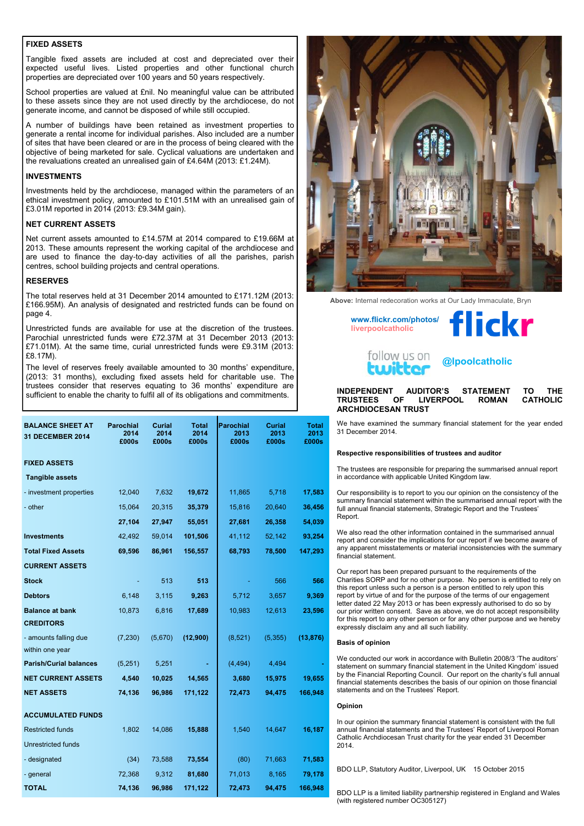#### **FIXED ASSETS**

Tangible fixed assets are included at cost and depreciated over their expected useful lives. Listed properties and other functional church properties are depreciated over 100 years and 50 years respectively.

School properties are valued at £nil. No meaningful value can be attributed to these assets since they are not used directly by the archdiocese, do not generate income, and cannot be disposed of while still occupied.

A number of buildings have been retained as investment properties to generate a rental income for individual parishes. Also included are a number of sites that have been cleared or are in the process of being cleared with the objective of being marketed for sale. Cyclical valuations are undertaken and the revaluations created an unrealised gain of £4.64M (2013: £1.24M).

#### **INVESTMENTS**

Investments held by the archdiocese, managed within the parameters of an ethical investment policy, amounted to £101.51M with an unrealised gain of £3.01M reported in 2014 (2013: £9.34M gain).

#### **NET CURRENT ASSETS**

Net current assets amounted to £14.57M at 2014 compared to £19.66M at 2013. These amounts represent the working capital of the archdiocese and are used to finance the day-to-day activities of all the parishes, parish centres, school building projects and central operations.

#### **RESERVES**

The total reserves held at 31 December 2014 amounted to £171.12M (2013: £166.95M). An analysis of designated and restricted funds can be found on page 4.

Unrestricted funds are available for use at the discretion of the trustees. Parochial unrestricted funds were £72.37M at 31 December 2013 (2013: £71.01M). At the same time, curial unrestricted funds were £9.31M (2013: £8.17M).

The level of reserves freely available amounted to 30 months' expenditure, (2013: 31 months), excluding fixed assets held for charitable use. The trustees consider that reserves equating to 36 months' expenditure are sufficient to enable the charity to fulfil all of its obligations and commitments.

| <b>BALANCE SHEET AT</b><br>31 DECEMBER 2014 | <b>Parochial</b><br>2014<br>£000s | Curial<br>2014<br>£000s | <b>Total</b><br>2014<br>£000s | <b>Parochial</b><br>2013<br>£000s | Curial<br>2013<br>£000s | Total<br>2013<br>£000s |
|---------------------------------------------|-----------------------------------|-------------------------|-------------------------------|-----------------------------------|-------------------------|------------------------|
| <b>FIXED ASSETS</b>                         |                                   |                         |                               |                                   |                         |                        |
| <b>Tangible assets</b>                      |                                   |                         |                               |                                   |                         |                        |
| - investment properties                     | 12,040                            | 7,632                   | 19,672                        | 11,865                            | 5,718                   | 17,583                 |
| - other                                     | 15,064                            | 20,315                  | 35,379                        | 15,816                            | 20,640                  | 36,456                 |
|                                             | 27,104                            | 27,947                  | 55,051                        | 27,681                            | 26,358                  | 54,039                 |
| <b>Investments</b>                          | 42,492                            | 59,014                  | 101,506                       | 41,112                            | 52,142                  | 93,254                 |
| <b>Total Fixed Assets</b>                   | 69,596                            | 86,961                  | 156,557                       | 68,793                            | 78,500                  | 147,293                |
| <b>CURRENT ASSETS</b>                       |                                   |                         |                               |                                   |                         |                        |
| <b>Stock</b>                                |                                   | 513                     | 513                           |                                   | 566                     | 566                    |
| <b>Debtors</b>                              | 6,148                             | 3,115                   | 9,263                         | 5,712                             | 3,657                   | 9,369                  |
| <b>Balance at bank</b><br><b>CREDITORS</b>  | 10,873                            | 6,816                   | 17,689                        | 10,983                            | 12,613                  | 23,596                 |
| - amounts falling due<br>within one year    | (7, 230)                          | (5,670)                 | (12,900)                      | (8,521)                           | (5, 355)                | (13, 876)              |
| <b>Parish/Curial balances</b>               | (5,251)                           | 5,251                   |                               | (4, 494)                          | 4,494                   |                        |
| <b>NET CURRENT ASSETS</b>                   | 4,540                             | 10,025                  | 14,565                        | 3,680                             | 15,975                  | 19,655                 |
| <b>NET ASSETS</b>                           | 74,136                            | 96,986                  | 171,122                       | 72,473                            | 94,475                  | 166,948                |
| <b>ACCUMULATED FUNDS</b>                    |                                   |                         |                               |                                   |                         |                        |
| <b>Restricted funds</b>                     | 1,802                             | 14,086                  | 15,888                        | 1,540                             | 14,647                  | 16,187                 |
| <b>Unrestricted funds</b>                   |                                   |                         |                               |                                   |                         |                        |
| - designated                                | (34)                              | 73,588                  | 73,554                        | (80)                              | 71,663                  | 71,583                 |
| - general                                   | 72,368                            | 9,312                   | 81,680                        | 71,013                            | 8,165                   | 79,178                 |
| <b>TOTAL</b>                                | 74,136                            | 96,986                  | 171,122                       | 72,473                            | 94,475                  | 166,948                |



**Above:** Internal redecoration works at Our Lady Immaculate, Bryn





**@lpoolcatholic**

#### **INDEPENDENT AUDITOR'S STATEMENT TO THE**  TRUSTEES OF LIVERPOOL ROMAN **ARCHDIOCESAN TRUST**

We have examined the summary financial statement for the year ended 31 December 2014.

#### **Respective responsibilities of trustees and auditor**

The trustees are responsible for preparing the summarised annual report in accordance with applicable United Kingdom law.

Our responsibility is to report to you our opinion on the consistency of the summary financial statement within the summarised annual report with the full annual financial statements, Strategic Report and the Trustees' Report.

We also read the other information contained in the summarised annual report and consider the implications for our report if we become aware of any apparent misstatements or material inconsistencies with the summary financial statement.

Our report has been prepared pursuant to the requirements of the Charities SORP and for no other purpose. No person is entitled to rely on this report unless such a person is a person entitled to rely upon this report by virtue of and for the purpose of the terms of our engagement letter dated 22 May 2013 or has been expressly authorised to do so by our prior written consent. Save as above, we do not accept responsibility for this report to any other person or for any other purpose and we hereby expressly disclaim any and all such liability.

#### **Basis of opinion**

We conducted our work in accordance with Bulletin 2008/3 'The auditors' statement on summary financial statement in the United Kingdom' issued by the Financial Reporting Council. Our report on the charity's full annual financial statements describes the basis of our opinion on those financial statements and on the Trustees' Report.

#### **Opinion**

In our opinion the summary financial statement is consistent with the full annual financial statements and the Trustees' Report of Liverpool Roman Catholic Archdiocesan Trust charity for the year ended 31 December 2014.

BDO LLP, Statutory Auditor, Liverpool, UK 15 October 2015

BDO LLP is a limited liability partnership registered in England and Wales (with registered number OC305127)